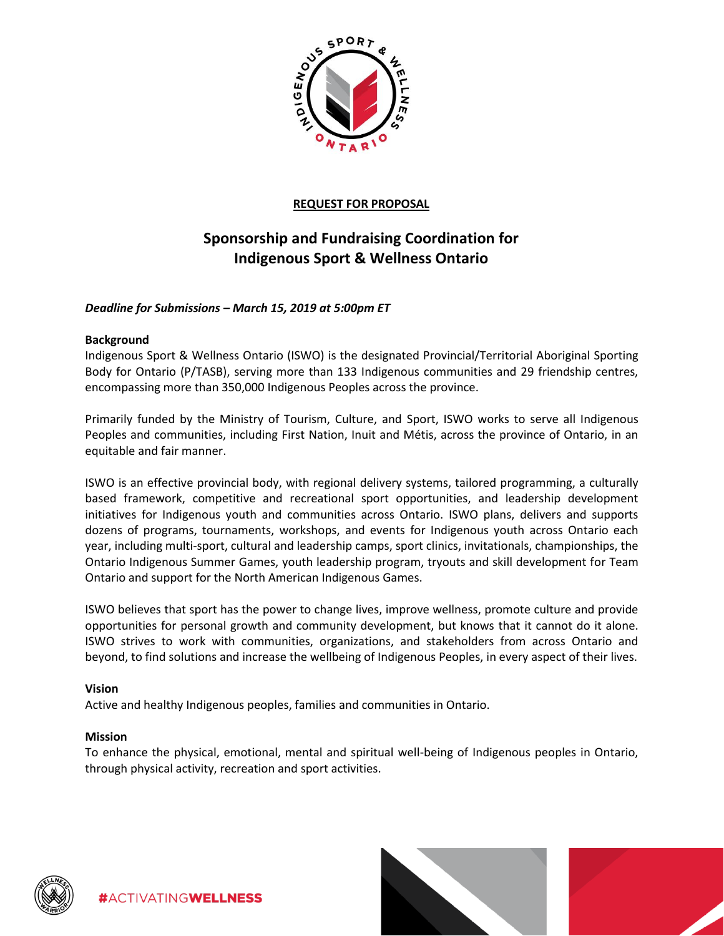

# **REQUEST FOR PROPOSAL**

# **Sponsorship and Fundraising Coordination for Indigenous Sport & Wellness Ontario**

# *Deadline for Submissions – March 15, 2019 at 5:00pm ET*

#### **Background**

Indigenous Sport & Wellness Ontario (ISWO) is the designated Provincial/Territorial Aboriginal Sporting Body for Ontario (P/TASB), serving more than 133 Indigenous communities and 29 friendship centres, encompassing more than 350,000 Indigenous Peoples across the province.

Primarily funded by the Ministry of Tourism, Culture, and Sport, ISWO works to serve all Indigenous Peoples and communities, including First Nation, Inuit and Métis, across the province of Ontario, in an equitable and fair manner.

ISWO is an effective provincial body, with regional delivery systems, tailored programming, a culturally based framework, competitive and recreational sport opportunities, and leadership development initiatives for Indigenous youth and communities across Ontario. ISWO plans, delivers and supports dozens of programs, tournaments, workshops, and events for Indigenous youth across Ontario each year, including multi-sport, cultural and leadership camps, sport clinics, invitationals, championships, the Ontario Indigenous Summer Games, youth leadership program, tryouts and skill development for Team Ontario and support for the North American Indigenous Games.

ISWO believes that sport has the power to change lives, improve wellness, promote culture and provide opportunities for personal growth and community development, but knows that it cannot do it alone. ISWO strives to work with communities, organizations, and stakeholders from across Ontario and beyond, to find solutions and increase the wellbeing of Indigenous Peoples, in every aspect of their lives.

#### **Vision**

Active and healthy Indigenous peoples, families and communities in Ontario.

#### **Mission**

To enhance the physical, emotional, mental and spiritual well-being of Indigenous peoples in Ontario, through physical activity, recreation and sport activities.



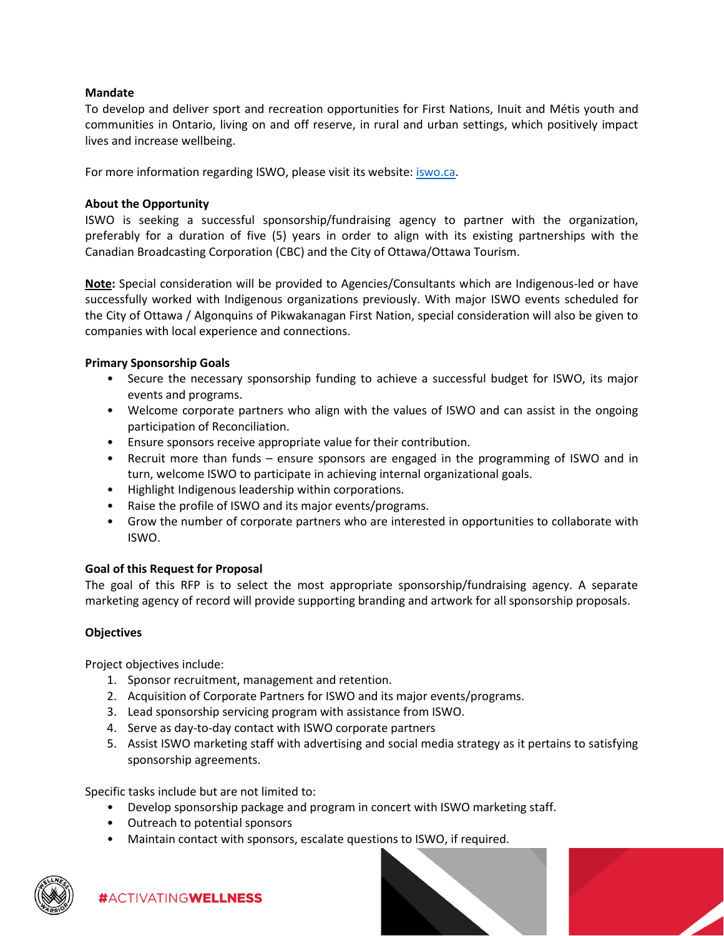### **Mandate**

To develop and deliver sport and recreation opportunities for First Nations, Inuit and Métis youth and communities in Ontario, living on and off reserve, in rural and urban settings, which positively impact lives and increase wellbeing.

For more information regarding ISWO, please visit its website: [iswo.ca.](iswo.ca)

### **About the Opportunity**

ISWO is seeking a successful sponsorship/fundraising agency to partner with the organization, preferably for a duration of five (5) years in order to align with its existing partnerships with the Canadian Broadcasting Corporation (CBC) and the City of Ottawa/Ottawa Tourism.

**Note:** Special consideration will be provided to Agencies/Consultants which are Indigenous-led or have successfully worked with Indigenous organizations previously. With major ISWO events scheduled for the City of Ottawa / Algonquins of Pikwakanagan First Nation, special consideration will also be given to companies with local experience and connections.

# **Primary Sponsorship Goals**

- Secure the necessary sponsorship funding to achieve a successful budget for ISWO, its major events and programs.
- Welcome corporate partners who align with the values of ISWO and can assist in the ongoing participation of Reconciliation.
- Ensure sponsors receive appropriate value for their contribution.
- Recruit more than funds ensure sponsors are engaged in the programming of ISWO and in turn, welcome ISWO to participate in achieving internal organizational goals.
- Highlight Indigenous leadership within corporations.
- Raise the profile of ISWO and its major events/programs.
- Grow the number of corporate partners who are interested in opportunities to collaborate with ISWO.

#### **Goal of this Request for Proposal**

The goal of this RFP is to select the most appropriate sponsorship/fundraising agency. A separate marketing agency of record will provide supporting branding and artwork for all sponsorship proposals.

#### **Objectives**

Project objectives include:

- 1. Sponsor recruitment, management and retention.
- 2. Acquisition of Corporate Partners for ISWO and its major events/programs.
- 3. Lead sponsorship servicing program with assistance from ISWO.
- 4. Serve as day-to-day contact with ISWO corporate partners
- 5. Assist ISWO marketing staff with advertising and social media strategy as it pertains to satisfying sponsorship agreements.

Specific tasks include but are not limited to:

- Develop sponsorship package and program in concert with ISWO marketing staff.
- Outreach to potential sponsors

#ACTIVATINGWELLNESS

• Maintain contact with sponsors, escalate questions to ISWO, if required.



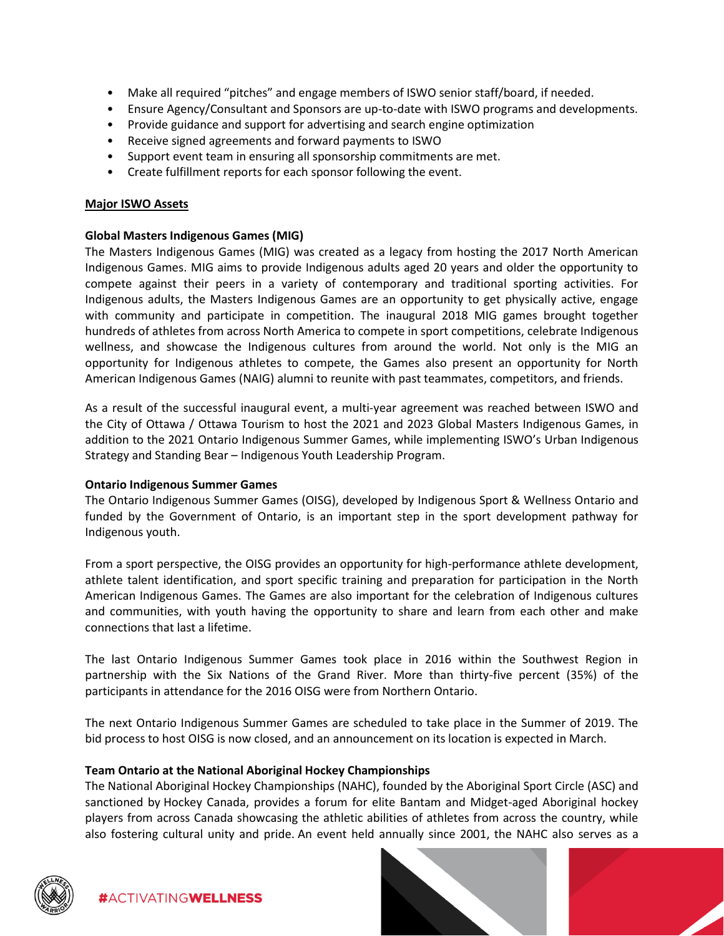- Make all required "pitches" and engage members of ISWO senior staff/board, if needed.
- Ensure Agency/Consultant and Sponsors are up-to-date with ISWO programs and developments.
- Provide guidance and support for advertising and search engine optimization
- Receive signed agreements and forward payments to ISWO
- Support event team in ensuring all sponsorship commitments are met.
- Create fulfillment reports for each sponsor following the event.

#### **Major ISWO Assets**

#### **Global Masters Indigenous Games (MIG)**

The Masters Indigenous Games (MIG) was created as a legacy from hosting the 2017 North American Indigenous Games. MIG aims to provide Indigenous adults aged 20 years and older the opportunity to compete against their peers in a variety of contemporary and traditional sporting activities. For Indigenous adults, the Masters Indigenous Games are an opportunity to get physically active, engage with community and participate in competition. The inaugural 2018 MIG games brought together hundreds of athletes from across North America to compete in sport competitions, celebrate Indigenous wellness, and showcase the Indigenous cultures from around the world. Not only is the MIG an opportunity for Indigenous athletes to compete, the Games also present an opportunity for North American Indigenous Games (NAIG) alumni to reunite with past teammates, competitors, and friends.

As a result of the successful inaugural event, a multi-year agreement was reached between ISWO and the City of Ottawa / Ottawa Tourism to host the 2021 and 2023 Global Masters Indigenous Games, in addition to the 2021 Ontario Indigenous Summer Games, while implementing ISWO's Urban Indigenous Strategy and Standing Bear – Indigenous Youth Leadership Program.

#### **Ontario Indigenous Summer Games**

The Ontario Indigenous Summer Games (OISG), developed by Indigenous Sport & Wellness Ontario and funded by the Government of Ontario, is an important step in the sport development pathway for Indigenous youth.

From a sport perspective, the OISG provides an opportunity for high-performance athlete development, athlete talent identification, and sport specific training and preparation for participation in the North American Indigenous Games. The Games are also important for the celebration of Indigenous cultures and communities, with youth having the opportunity to share and learn from each other and make connections that last a lifetime.

The last Ontario Indigenous Summer Games took place in 2016 within the Southwest Region in partnership with the Six Nations of the Grand River. More than thirty-five percent (35%) of the participants in attendance for the 2016 OISG were from Northern Ontario.

The next Ontario Indigenous Summer Games are scheduled to take place in the Summer of 2019. The bid process to host OISG is now closed, and an announcement on its location is expected in March.

#### **Team Ontario at the National Aboriginal Hockey Championships**

The National Aboriginal Hockey Championships (NAHC), founded by the Aboriginal Sport Circle (ASC) and sanctioned by Hockey Canada, provides a forum for elite Bantam and Midget-aged Aboriginal hockey players from across Canada showcasing the athletic abilities of athletes from across the country, while also fostering cultural unity and pride. An event held annually since 2001, the NAHC also serves as a



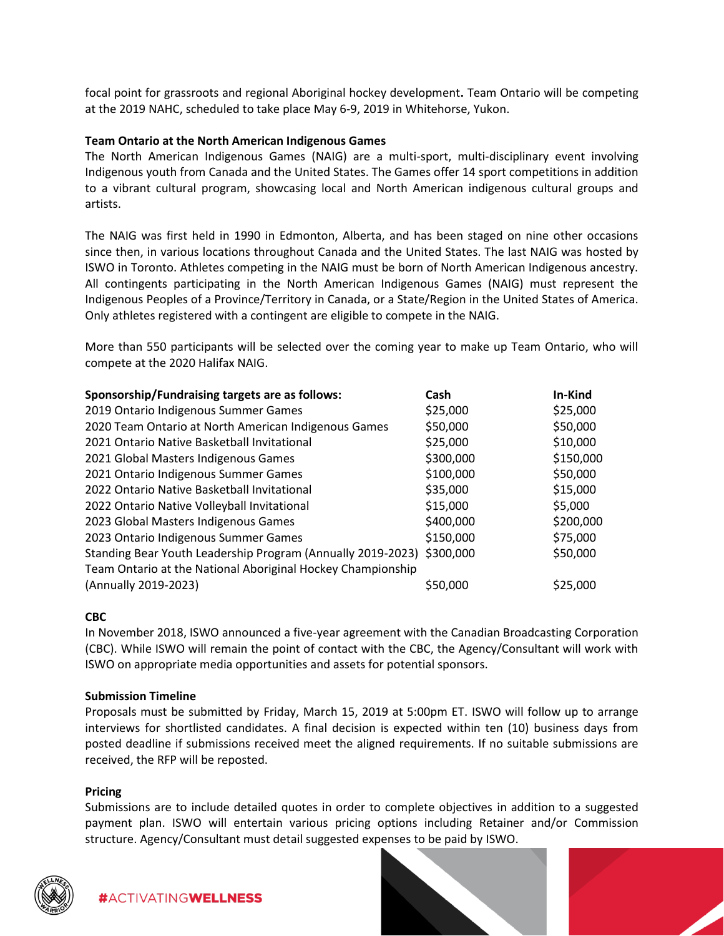focal point for grassroots and regional Aboriginal hockey development**.** Team Ontario will be competing at the 2019 NAHC, scheduled to take place May 6-9, 2019 in Whitehorse, Yukon.

#### **Team Ontario at the North American Indigenous Games**

The North American Indigenous Games (NAIG) are a multi-sport, multi-disciplinary event involving Indigenous youth from Canada and the United States. The Games offer 14 sport competitions in addition to a vibrant cultural program, showcasing local and North American indigenous cultural groups and artists.

The NAIG was first held in 1990 in Edmonton, Alberta, and has been staged on nine other occasions since then, in various locations throughout Canada and the United States. The last NAIG was hosted by ISWO in Toronto. Athletes competing in the NAIG must be born of North American Indigenous ancestry. All contingents participating in the North American Indigenous Games (NAIG) must represent the Indigenous Peoples of a Province/Territory in Canada, or a State/Region in the United States of America. Only athletes registered with a contingent are eligible to compete in the NAIG.

More than 550 participants will be selected over the coming year to make up Team Ontario, who will compete at the 2020 Halifax NAIG.

| Sponsorship/Fundraising targets are as follows:                       | Cash      | In-Kind   |
|-----------------------------------------------------------------------|-----------|-----------|
| 2019 Ontario Indigenous Summer Games                                  | \$25,000  | \$25,000  |
| 2020 Team Ontario at North American Indigenous Games                  | \$50,000  | \$50,000  |
| 2021 Ontario Native Basketball Invitational                           | \$25,000  | \$10,000  |
| 2021 Global Masters Indigenous Games                                  | \$300,000 | \$150,000 |
| 2021 Ontario Indigenous Summer Games                                  | \$100,000 | \$50,000  |
| 2022 Ontario Native Basketball Invitational                           | \$35,000  | \$15,000  |
| 2022 Ontario Native Volleyball Invitational                           | \$15,000  | \$5,000   |
| 2023 Global Masters Indigenous Games                                  | \$400,000 | \$200,000 |
| 2023 Ontario Indigenous Summer Games                                  | \$150,000 | \$75,000  |
| Standing Bear Youth Leadership Program (Annually 2019-2023) \$300,000 |           | \$50,000  |
| Team Ontario at the National Aboriginal Hockey Championship           |           |           |
| (Annually 2019-2023)                                                  | \$50,000  | \$25,000  |

#### **CBC**

In November 2018, ISWO announced a five-year agreement with the Canadian Broadcasting Corporation (CBC). While ISWO will remain the point of contact with the CBC, the Agency/Consultant will work with ISWO on appropriate media opportunities and assets for potential sponsors.

#### **Submission Timeline**

Proposals must be submitted by Friday, March 15, 2019 at 5:00pm ET. ISWO will follow up to arrange interviews for shortlisted candidates. A final decision is expected within ten (10) business days from posted deadline if submissions received meet the aligned requirements. If no suitable submissions are received, the RFP will be reposted.

#### **Pricing**

Submissions are to include detailed quotes in order to complete objectives in addition to a suggested payment plan. ISWO will entertain various pricing options including Retainer and/or Commission structure. Agency/Consultant must detail suggested expenses to be paid by ISWO.